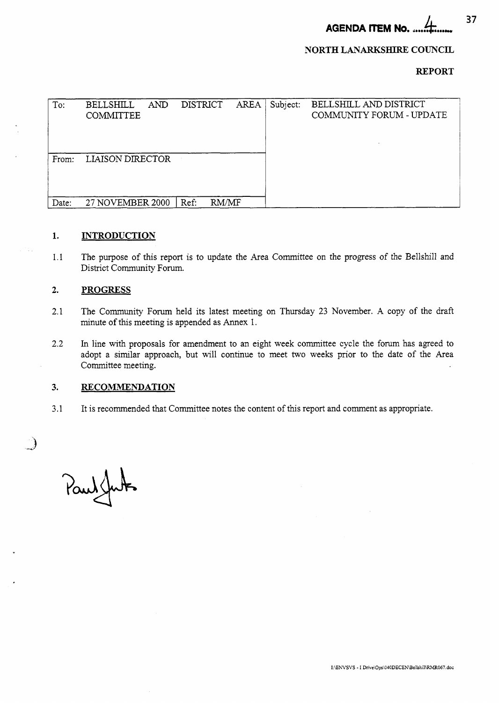**AGENDA ITEM NO.** &..... *lit*......I

# **NORTH LANARKSHIRE COUNCIL**

# **REPORT**

| To:   | <b>AND</b><br>BELLSHILL<br><b>COMMITTEE</b> | <b>DISTRICT</b> |       | <b>AREA</b> | Subject: | BELLSHILL AND DISTRICT<br>COMMUNITY FORUM - UPDATE |
|-------|---------------------------------------------|-----------------|-------|-------------|----------|----------------------------------------------------|
| From: | <b>LIAISON DIRECTOR</b>                     |                 |       |             |          |                                                    |
| Date: | 27 NOVEMBER 2000                            | Ref:            | RM/MF |             |          |                                                    |

#### **1. INTRODUCTION**

1.1 The purpose of this report is to update the Area Committee on the progress of the Bellshill and District Community Forum.

#### **2. PROGRESS**

- 2.1 The Community Forum held its latest meeting on Thursday 23 November. A copy of the draft minute of this meeting is appended as Annex 1.
- 2.2 In line with proposals for amendment to an eight week committee cycle the forum has agreed to adopt a similar approach, but will continue to meet two weeks prior to the date of the Area Committee meeting.

#### **3. RECOMMENDATION**

3.1 It is recommended that Committee notes the content of this report and comment as appropriate.

Paulsfut

 $\mathcal{A}$ 

**37**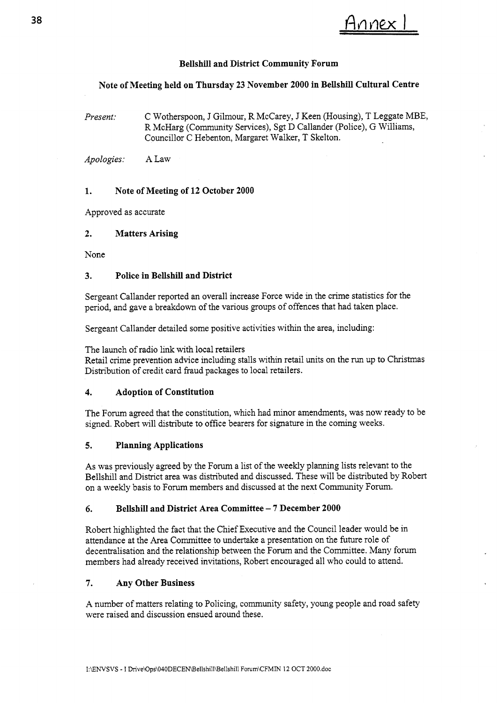# 38 Annex 1

# **Bellshill and District Community Forum**

# **Note of Meeting held on Thursday 23 November 2000 in Bellshill Cultural Centre**

*Present:* C Wotherspoon, J Gilmour, R McCarey, J Keen (Housing), T Leggate MBE, R McHarg (Community Services), *Sgt* D Callander (Police), G Williams, Councillor C Hebenton, Margaret Walker, T Skelton.

*Apologies:* **A** Law

# **1. Note of Meeting of 12 October 2000**

Approved as accurate

# **2. Matters Arising**

None

# **3. Police in Bellshill and District**

Sergeant Callander reported an overall increase Force wide in the crime statistics for the period, and gave a breakdown of the various groups of offences that had taken place.

Sergeant Callander detailed some positive activities within the area, including:

The launch of radio link with local retailers

Retail crime prevention advice including stalls within retail units on the run up to Christmas Distribution of credit card fraud packages to local retailers.

# **4. Adoption of Constitution**

The Forum agreed that the constitution, which had minor amendments, was now ready to be signed. Robert will distribute to office bearers for signature in the coming weeks.

# **5. Planning Applications**

As was previously agreed by the Forum a list of the weekly planning lists relevant to the Bellshill and District area was distributed and discussed. These will be distributed by Robert on a weekly basis to Forum members and discussed at the next Community Forum.

# *6.* **Bellshill and District Area Committee** - **7 December 2000**

Robert highlighted the fact that the Chief Executive and the Council leader would be in attendance at the Area Committee to undertake a presentation on the future role of decentralisation and the relationship between the Forum and the Committee. Many forum members had already received invitations, Robert encouraged all who could to attend.

# **7. Any Other Business**

**A** number of matters relating to Policing, community safety, young people and road safety were raised and discussion ensued around these.